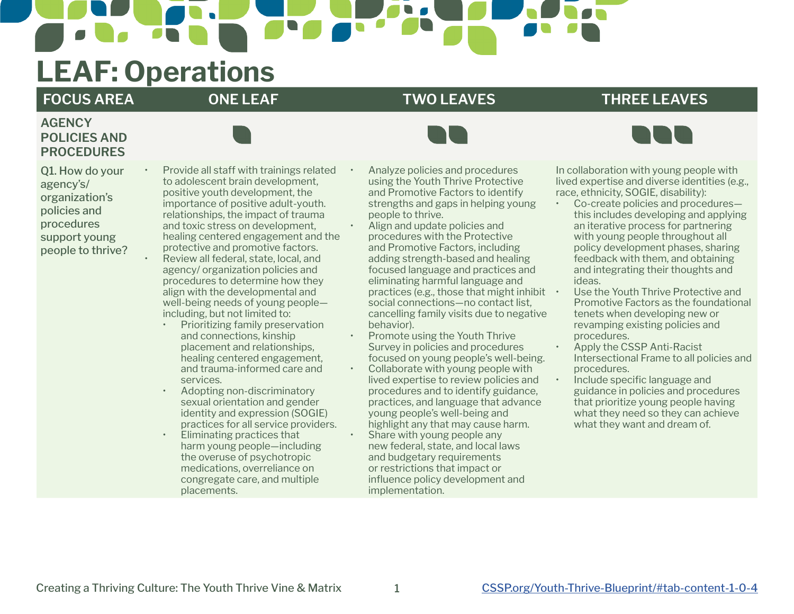## **LEAF: Operations**

## **FOCUS AREA ONE LEAF TWO LEAVES THREE LEAVES**

## **AGENCY POLICIES AND PROCEDURES**



• Provide all staff with trainings related to adolescent brain development, positive youth development, the importance of positive adult-youth. relationships, the impact of trauma and toxic stress on development, healing centered engagement and the protective and promotive factors. • Review all federal, state, local, and agency/ organization policies and procedures to determine how they align with the developmental and well-being needs of young people including, but not limited to:

- Prioritizing family preservation and connections, kinship placement and relationships, healing centered engagement, and trauma-informed care and services.
- Adopting non-discriminatory sexual orientation and gender identity and expression (SOGIE) practices for all service providers.
- Eliminating practices that harm young people—including the overuse of psychotropic medications, overreliance on congregate care, and multiple placements.

• Analyze policies and procedures using the Youth Thrive Protective and Promotive Factors to identify strengths and gaps in helping young people to thrive.

- Align and update policies and procedures with the Protective and Promotive Factors, including adding strength-based and healing focused language and practices and eliminating harmful language and practices (e.g., those that might inhibit  $\cdot$ social connections—no contact list, cancelling family visits due to negative behavior).
- Promote using the Youth Thrive Survey in policies and procedures focused on young people's well-being. • Collaborate with young people with lived expertise to review policies and procedures and to identify guidance, practices, and language that advance young people's well-being and highlight any that may cause harm. Share with young people any new federal, state, and local laws and budgetary requirements or restrictions that impact or influence policy development and implementation.

In collaboration with young people with lived expertise and diverse identities (e.g., race, ethnicity, SOGIE, disability):

- Co-create policies and procedures this includes developing and applying an iterative process for partnering with young people throughout all policy development phases, sharing feedback with them, and obtaining and integrating their thoughts and ideas.
- Use the Youth Thrive Protective and Promotive Factors as the foundational tenets when developing new or revamping existing policies and procedures.
- Apply the CSSP Anti-Racist Intersectional Frame to all policies and procedures.
- Include specific language and guidance in policies and procedures that prioritize young people having what they need so they can achieve what they want and dream of.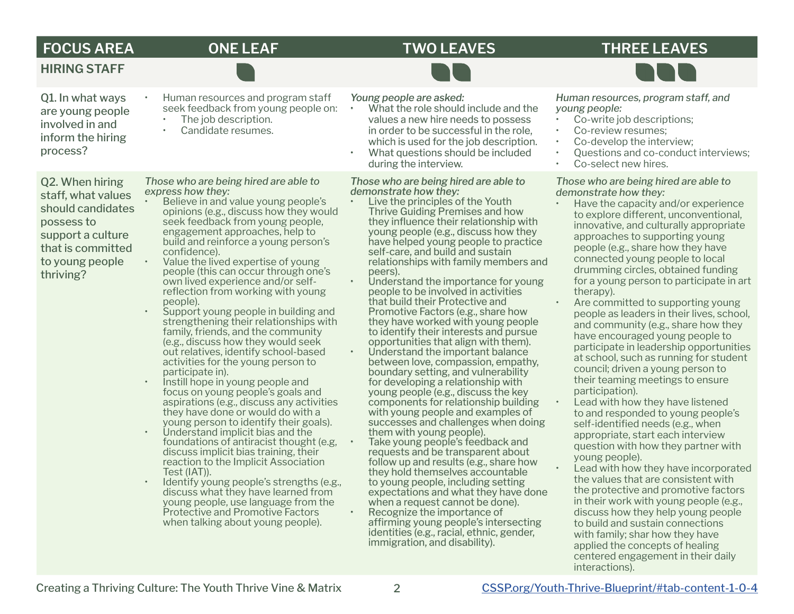## **FOCUS AREA ONE LEAF TWO LEAVES THREE LEAVES**

Q1. In what ways are young people involved in and inform the hiring process?

**HIRING STAFF**

Q2. When hiring staff, what values should candidates possess to support a culture that is committed to young people thriving?

*Those who are being hired are able to express how they:*

The job description. Candidate resumes.

• Believe in and value young people's opinions (e.g., discuss how they would seek feedback from young people, engagement approaches, help to build and reinforce a young person's confidence).

• Human resources and program staff seek feedback from young people on:

- Value the lived expertise of young people (this can occur through one's own lived experience and/or selfreflection from working with young people).
- Support young people in building and strengthening their relationships with family, friends, and the community (e.g., discuss how they would seek out relatives, identify school-based activities for the young person to participate in).
- Instill hope in young people and focus on young people's goals and aspirations (e.g., discuss any activities they have done or would do with a young person to identify their goals).
- Understand implicit bias and the foundations of antiracist thought (e.g, discuss implicit bias training, their reaction to the Implicit Association<br>Test (IAT)).
- Identify young people's strengths (e.g., discuss what they have learned from young people, use language from the Protective and Promotive Factors when talking about young people).

*Young people are asked:*

- What the role should include and the values a new hire needs to possess in order to be successful in the role, which is used for the job description.
- What questions should be included during the interview.

*Those who are being hired are able to demonstrate how they:* 

- Live the principles of the Youth Thrive Guiding Premises and how they influence their relationship with young people (e.g., discuss how they have helped young people to practice self-care, and build and sustain relationships with family members and peers).
- Understand the importance for young people to be involved in activities that build their Protective and Promotive Factors (e.g., share how they have worked with young people to identify their interests and pursue opportunities that align with them).
	- Understand the important balance between love, compassion, empathy, boundary setting, and vulnerability for developing a relationship with young people (e.g., discuss the key components for relationship building with young people and examples of successes and challenges when doing them with young people).
- Take young people's feedback and requests and be transparent about follow up and results (e.g., share how they hold themselves accountable to young people, including setting expectations and what they have done<br>when a request cannot be done).  $\cdot$  Recognize the importance of affirming young people's intersecting identities (e.g., racial, ethnic, gender, immigration, and disability).

*Human resources, program staff, and young people:*

- Co-write job descriptions:
- Co-review resumes;
- Co-develop the interview:
- Questions and co-conduct interviews;
- Co-select new hires.

*Those who are being hired are able to demonstrate how they:*

- Have the capacity and/or experience to explore different, unconventional, innovative, and culturally appropriate approaches to supporting young people (e.g., share how they have connected young people to local drumming circles, obtained funding for a young person to participate in art therapy).
- Are committed to supporting young people as leaders in their lives, school, and community (e.g., share how they have encouraged young people to participate in leadership opportunities at school, such as running for student council; driven a young person to their teaming meetings to ensure participation).
- Lead with how they have listened to and responded to young people's self-identified needs (e.g., when appropriate, start each interview question with how they partner with young people).
- Lead with how they have incorporated the values that are consistent with the protective and promotive factors in their work with young people (e.g., discuss how they help young people to build and sustain connections with family; shar how they have applied the concepts of healing centered engagement in their daily interactions).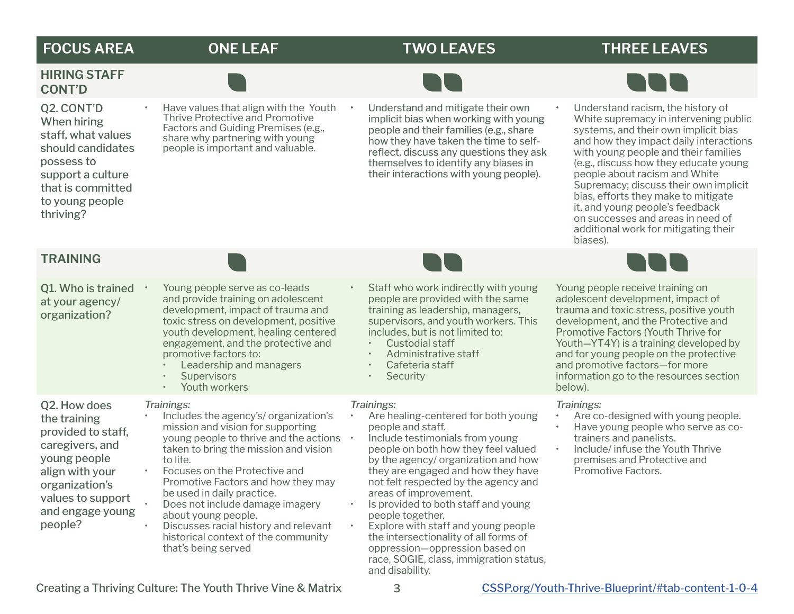## **FOCUS AREA ONE LEAF TWO LEAVES THREE LEAVES**

## **HIRING STAFF CONT'D**



- Have values that align with the Youth Thrive Protective and Promotive Factors and Guiding Premises (e.g., share why partnering with young people is important and valuable.
- Understand and mitigate their own implicit bias when working with young people and their families (e.g., share how they have taken the time to selfreflect, discuss any questions they ask themselves to identify any biases in their interactions with young people).



• Understand racism, the history of White supremacy in intervening public systems, and their own implicit bias and how they impact daily interactions with young people and their families (e.g., discuss how they educate young people about racism and White Supremacy; discuss their own implicit bias, efforts they make to mitigate it, and young people's feedback on successes and areas in need of additional work for mitigating their biases).

### **TRAINING**

| Q1. Who is trained<br>at your agency/<br>organization?                                                                                                                         | Young people serve as co-leads<br>and provide training on adolescent<br>development, impact of trauma and<br>toxic stress on development, positive<br>youth development, healing centered<br>engagement, and the protective and<br>promotive factors to:<br>Leadership and managers<br><b>Supervisors</b><br>Youth workers<br>$\bullet$                                                                                                | Staff who work indirectly with young<br>people are provided with the same<br>training as leadership, managers,<br>supervisors, and youth workers. This<br>includes, but is not limited to:<br>Custodial staff<br>Administrative staff<br>Cafeteria staff<br>Security<br>$\bullet$                                                                                                                                                         | Young people receive training on<br>adolescent development, impact of<br>trauma and toxic stress, positive youth<br>development, and the Protective and<br>Promotive Factors (Youth Thrive for<br>Youth-YT4Y) is a training developed by<br>and for young people on the protective<br>and promotive factors-for more<br>information go to the resources section<br>below). |
|--------------------------------------------------------------------------------------------------------------------------------------------------------------------------------|----------------------------------------------------------------------------------------------------------------------------------------------------------------------------------------------------------------------------------------------------------------------------------------------------------------------------------------------------------------------------------------------------------------------------------------|-------------------------------------------------------------------------------------------------------------------------------------------------------------------------------------------------------------------------------------------------------------------------------------------------------------------------------------------------------------------------------------------------------------------------------------------|----------------------------------------------------------------------------------------------------------------------------------------------------------------------------------------------------------------------------------------------------------------------------------------------------------------------------------------------------------------------------|
| Q2. How does<br>the training<br>provided to staff,<br>caregivers, and<br>young people<br>align with your<br>organization's<br>values to support<br>and engage young<br>people? | Trainings:<br>Includes the agency's/ organization's<br>mission and vision for supporting<br>young people to thrive and the actions<br>taken to bring the mission and vision<br>to life.<br>Focuses on the Protective and<br>Promotive Factors and how they may<br>be used in daily practice.<br>Does not include damage imagery<br>about young people.<br>Discusses racial history and relevant<br>historical context of the community | Trainings:<br>Are healing-centered for both young<br>people and staff.<br>Include testimonials from young<br>people on both how they feel valued<br>by the agency/ organization and how<br>they are engaged and how they have<br>not felt respected by the agency and<br>areas of improvement.<br>Is provided to both staff and young<br>people together.<br>Explore with staff and young people<br>the intersectionality of all forms of | Trainings:<br>Are co-designed with young people.<br>Have young people who serve as co-<br>trainers and panelists.<br>Include/infuse the Youth Thrive<br>premises and Protective and<br>Promotive Factors.                                                                                                                                                                  |

that's being served

and disability.

oppression—oppression based on race, SOGIE, class, immigration status,